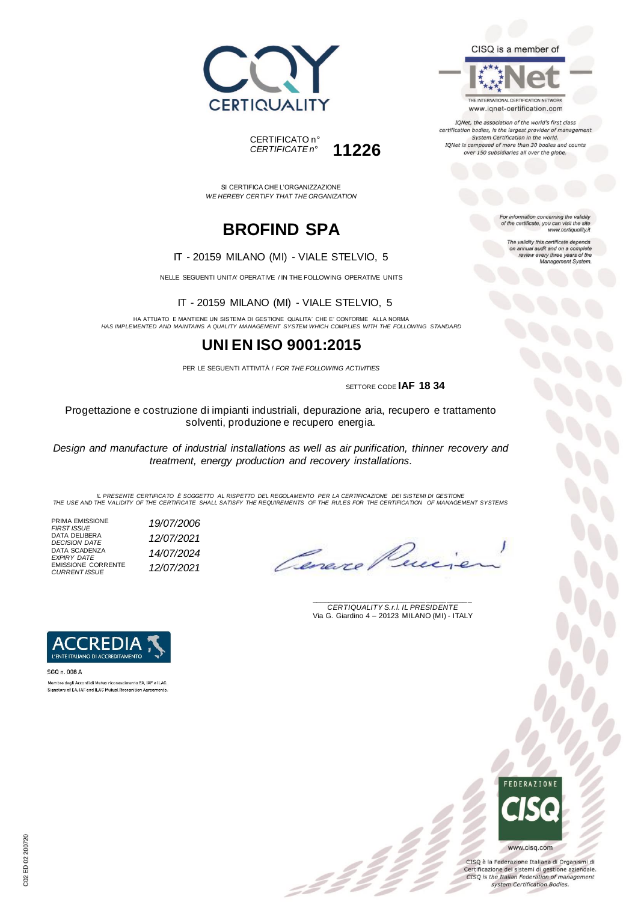



IQNet, the association of the world's first class certification bodies, is the largest provider of manageme. System Certification in the world. IQNet is composed of more than 30 bodies and counts

over 150 subsidiaries all over the globe.

For information concerning the validity<br>of the certificate, you can visit the site www.certiquality.it

> The validity this certificate depends on annual audit and on a complete<br>review every three years of the<br>Management System.





SI CERTIFICA CHE L'ORGANIZZAZIONE *WE HEREBY CERTIFY THAT THE ORGANIZATION*

# **BROFIND SPA**

#### IT - 20159 MILANO (MI) - VIALE STELVIO, 5

NELLE SEGUENTI UNITA' OPERATIVE / IN THE FOLLOWING OPERATIVE UNITS

IT - 20159 MILANO (MI) - VIALE STELVIO, 5

HA ATTUATO E MANTIENE UN SISTEMA DI GESTIONE QUALITA' CHE E' CONFORME ALLA NORMA *HAS IMPLEMENTED AND MAINTAINS A QUALITY MANAGEMENT SYSTEM WHICH COMPLIES WITH THE FOLLOWING STANDARD*

## **UNI EN ISO 9001:2015**

PER LE SEGUENTI ATTIVITÀ / *FOR THE FOLLOWING ACTIVITIES*

SETTORE CODE **IAF 18 34**

Progettazione e costruzione di impianti industriali, depurazione aria, recupero e trattamento solventi, produzione e recupero energia.

*Design and manufacture of industrial installations as well as air purification, thinner recovery and treatment, energy production and recovery installations.*

IL PRESENTE CERTIFICATO E SOGGETTO AL RISPETTO DEL REGOLAMENTO PER LA CERTIFICAZIONE DEI SISTEMI DI GESTIONE<br>THE USE AND THE VALIDITY OF THE CERTIFICATE SHALL SATISFY THE REQUIREMENTS OF THE RULES FOR THE CERTIFICATION OF

 $\mathcal{L}$ 

PRIMA EMISSIONE *FIRST ISSUE 19/07/2006* DATA DELIBERA *DECISION DATE 12/07/2021* DATA SCADENZA *EXPIRY DATE 14/07/2024* EMISSIONE CORRENTE *CURRENT ISSUE 12/07/2021*

Cereve

\_\_\_\_\_\_\_\_\_\_\_\_\_\_\_\_\_\_\_\_\_\_\_\_\_\_\_\_\_\_\_\_\_\_\_\_\_\_\_ *CERTIQUALITY S.r.l. IL PRESIDENTE* Via G. Giardino 4 – 20123 MILANO (MI) - ITALY



Membro degli Accordi di Mutuo riconoscimento EA, IAF e ILAC. Signatory of EA, IAF and ILAC Mutual Recognition Agreements



CISQ è la Federazione Italiana di Organismi di Certificazione dei sistemi di gestione aziendale. CISQ is the Italian Federation of management system Certification Bodies.